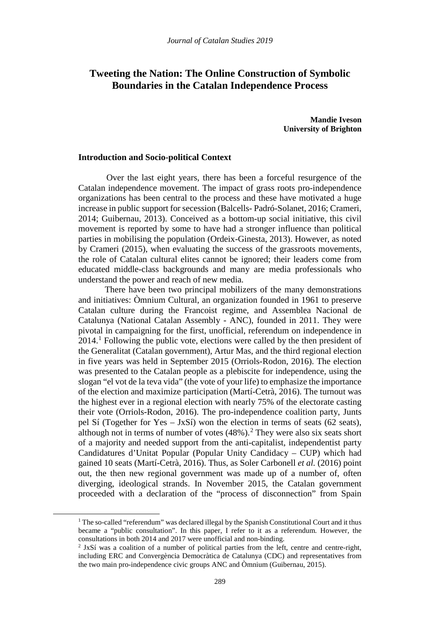# **Tweeting the Nation: The Online Construction of Symbolic Boundaries in the Catalan Independence Process**

**Mandie Iveson University of Brighton**

#### **Introduction and Socio-political Context**

Over the last eight years, there has been a forceful resurgence of the Catalan independence movement. The impact of grass roots pro-independence organizations has been central to the process and these have motivated a huge increase in public support for secession (Balcells- Padró-Solanet, 2016; Crameri, 2014; Guibernau, 2013). Conceived as a bottom-up social initiative, this civil movement is reported by some to have had a stronger influence than political parties in mobilising the population (Ordeix-Ginesta, 2013). However, as noted by Crameri (2015), when evaluating the success of the grassroots movements, the role of Catalan cultural elites cannot be ignored; their leaders come from educated middle-class backgrounds and many are media professionals who understand the power and reach of new media.

There have been two principal mobilizers of the many demonstrations and initiatives: Òmnium Cultural, an organization founded in 1961 to preserve Catalan culture during the Francoist regime, and Assemblea Nacional de Catalunya (National Catalan Assembly - ANC), founded in 2011. They were pivotal in campaigning for the first, unofficial, referendum on independence in 2014. [1](#page-0-0) Following the public vote, elections were called by the then president of the Generalitat (Catalan government), Artur Mas, and the third regional election in five years was held in September 2015 (Orriols-Rodon, 2016). The election was presented to the Catalan people as a plebiscite for independence, using the slogan "el vot de la teva vida" (the vote of your life) to emphasize the importance of the election and maximize participation (Martí-Cetrà, 2016). The turnout was the highest ever in a regional election with nearly 75% of the electorate casting their vote (Orriols-Rodon, 2016). The pro-independence coalition party, Junts pel Sí (Together for Yes – JxSí) won the election in terms of seats (62 seats), although not in terms of number of votes  $(48\%)$ .<sup>[2](#page-0-1)</sup> They were also six seats short of a majority and needed support from the anti-capitalist, independentist party Candidatures d'Unitat Popular (Popular Unity Candidacy – CUP) which had gained 10 seats (Martí-Cetrà, 2016). Thus, as Soler Carbonell *et al.* (2016) point out, the then new regional government was made up of a number of, often diverging, ideological strands. In November 2015, the Catalan government proceeded with a declaration of the "process of disconnection" from Spain

<span id="page-0-1"></span><span id="page-0-0"></span>**.** 

 $1$  The so-called "referendum" was declared illegal by the Spanish Constitutional Court and it thus became a "public consultation". In this paper, I refer to it as a referendum. However, the consultations in both 2014 and 2017 were unofficial and non-binding.

<sup>2</sup> JxSí was a coalition of a number of political parties from the left, centre and centre-right, including ERC and Convergència Democràtica de Catalunya (CDC) and representatives from the two main pro-independence civic groups ANC and Òmnium (Guibernau, 2015).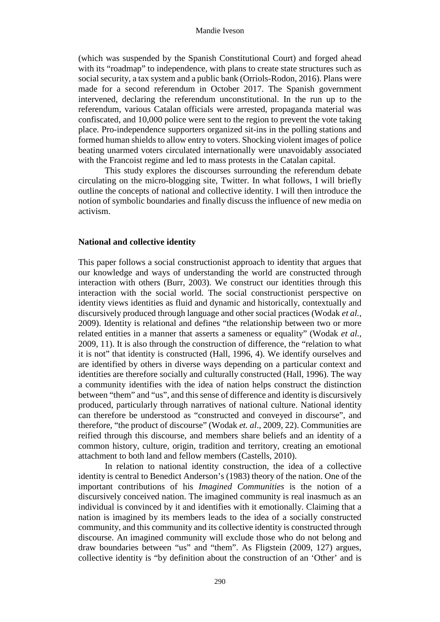(which was suspended by the Spanish Constitutional Court) and forged ahead with its "roadmap" to independence, with plans to create state structures such as social security, a tax system and a public bank (Orriols-Rodon, 2016). Plans were made for a second referendum in October 2017. The Spanish government intervened, declaring the referendum unconstitutional. In the run up to the referendum, various Catalan officials were arrested, propaganda material was confiscated, and 10,000 police were sent to the region to prevent the vote taking place. Pro-independence supporters organized sit-ins in the polling stations and formed human shields to allow entry to voters. Shocking violent images of police beating unarmed voters circulated internationally were unavoidably associated with the Francoist regime and led to mass protests in the Catalan capital.

This study explores the discourses surrounding the referendum debate circulating on the micro-blogging site, Twitter. In what follows, I will briefly outline the concepts of national and collective identity. I will then introduce the notion of symbolic boundaries and finally discuss the influence of new media on activism.

### **National and collective identity**

This paper follows a social constructionist approach to identity that argues that our knowledge and ways of understanding the world are constructed through interaction with others (Burr, 2003). We construct our identities through this interaction with the social world. The social constructionist perspective on identity views identities as fluid and dynamic and historically, contextually and discursively produced through language and other social practices (Wodak *et al.*, 2009). Identity is relational and defines "the relationship between two or more related entities in a manner that asserts a sameness or equality" (Wodak *et al.*, 2009, 11). It is also through the construction of difference, the "relation to what it is not" that identity is constructed (Hall, 1996, 4). We identify ourselves and are identified by others in diverse ways depending on a particular context and identities are therefore socially and culturally constructed (Hall, 1996). The way a community identifies with the idea of nation helps construct the distinction between "them" and "us", and this sense of difference and identity is discursively produced, particularly through narratives of national culture. National identity can therefore be understood as "constructed and conveyed in discourse", and therefore, "the product of discourse" (Wodak *et. al*., 2009, 22). Communities are reified through this discourse, and members share beliefs and an identity of a common history, culture, origin, tradition and territory, creating an emotional attachment to both land and fellow members (Castells, 2010).

In relation to national identity construction, the idea of a collective identity is central to Benedict Anderson's (1983) theory of the nation. One of the important contributions of his *Imagined Communities* is the notion of a discursively conceived nation. The imagined community is real inasmuch as an individual is convinced by it and identifies with it emotionally. Claiming that a nation is imagined by its members leads to the idea of a socially constructed community, and this community and its collective identity is constructed through discourse. An imagined community will exclude those who do not belong and draw boundaries between "us" and "them". As Fligstein (2009, 127) argues, collective identity is "by definition about the construction of an 'Other' and is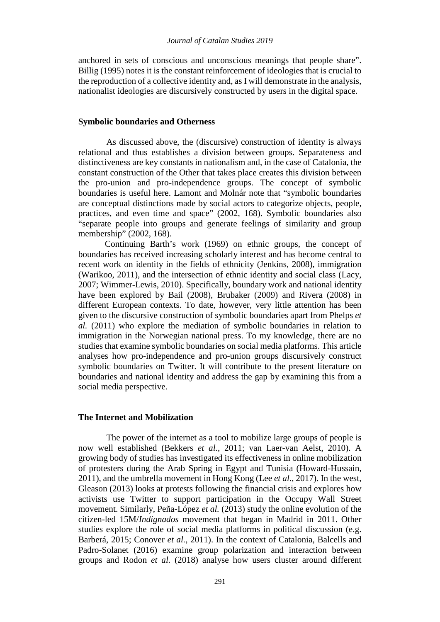anchored in sets of conscious and unconscious meanings that people share". Billig (1995) notes it is the constant reinforcement of ideologies that is crucial to the reproduction of a collective identity and, as I will demonstrate in the analysis, nationalist ideologies are discursively constructed by users in the digital space.

#### **Symbolic boundaries and Otherness**

As discussed above, the (discursive) construction of identity is always relational and thus establishes a division between groups. Separateness and distinctiveness are key constants in nationalism and, in the case of Catalonia, the constant construction of the Other that takes place creates this division between the pro-union and pro-independence groups. The concept of symbolic boundaries is useful here. Lamont and Molnár note that "symbolic boundaries are conceptual distinctions made by social actors to categorize objects, people, practices, and even time and space" (2002, 168). Symbolic boundaries also "separate people into groups and generate feelings of similarity and group membership" (2002, 168).

Continuing Barth's work (1969) on ethnic groups, the concept of boundaries has received increasing scholarly interest and has become central to recent work on identity in the fields of ethnicity (Jenkins, 2008), immigration (Warikoo, 2011), and the intersection of ethnic identity and social class (Lacy, 2007; Wimmer-Lewis, 2010). Specifically, boundary work and national identity have been explored by Bail (2008), Brubaker (2009) and Rivera (2008) in different European contexts. To date, however, very little attention has been given to the discursive construction of symbolic boundaries apart from Phelps *et al.* (2011) who explore the mediation of symbolic boundaries in relation to immigration in the Norwegian national press. To my knowledge, there are no studies that examine symbolic boundaries on social media platforms. This article analyses how pro-independence and pro-union groups discursively construct symbolic boundaries on Twitter. It will contribute to the present literature on boundaries and national identity and address the gap by examining this from a social media perspective.

### **The Internet and Mobilization**

The power of the internet as a tool to mobilize large groups of people is now well established (Bekkers *et al.*, 2011; van Laer-van Aelst, 2010). A growing body of studies has investigated its effectiveness in online mobilization of protesters during the Arab Spring in Egypt and Tunisia (Howard-Hussain, 2011), and the umbrella movement in Hong Kong (Lee *et al.*, 2017). In the west, Gleason (2013) looks at protests following the financial crisis and explores how activists use Twitter to support participation in the Occupy Wall Street movement. Similarly, Peña-López *et al.* (2013) study the online evolution of the citizen-led 15M/*Indignados* movement that began in Madrid in 2011. Other studies explore the role of social media platforms in political discussion (e.g. Barberá, 2015; Conover *et al.*, 2011). In the context of Catalonia, Balcells and Padro-Solanet (2016) examine group polarization and interaction between groups and Rodon *et al.* (2018) analyse how users cluster around different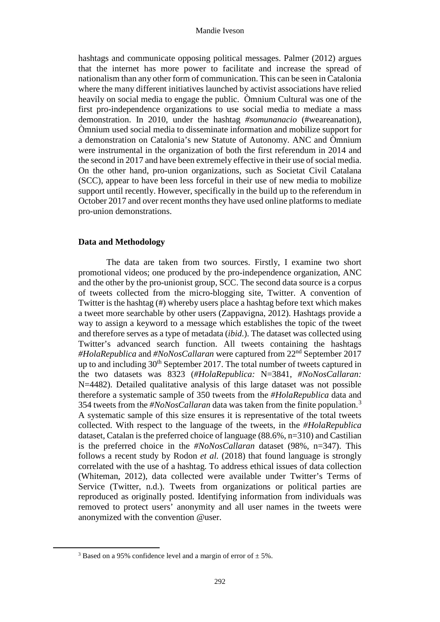hashtags and communicate opposing political messages. Palmer (2012) argues that the internet has more power to facilitate and increase the spread of nationalism than any other form of communication. This can be seen in Catalonia where the many different initiatives launched by activist associations have relied heavily on social media to engage the public. Òmnium Cultural was one of the first pro-independence organizations to use social media to mediate a mass demonstration. In 2010, under the hashtag *#somunanacio* (#weareanation), Òmnium used social media to disseminate information and mobilize support for a demonstration on Catalonia's new Statute of Autonomy. ANC and Òmnium were instrumental in the organization of both the first referendum in 2014 and the second in 2017 and have been extremely effective in their use of social media. On the other hand, pro-union organizations, such as Societat Civil Catalana (SCC), appear to have been less forceful in their use of new media to mobilize support until recently. However, specifically in the build up to the referendum in October 2017 and over recent months they have used online platforms to mediate pro-union demonstrations.

## **Data and Methodology**

The data are taken from two sources. Firstly, I examine two short promotional videos; one produced by the pro-independence organization, ANC and the other by the pro-unionist group, SCC. The second data source is a corpus of tweets collected from the micro-blogging site, Twitter. A convention of Twitter is the hashtag (#) whereby users place a hashtag before text which makes a tweet more searchable by other users (Zappavigna, 2012). Hashtags provide a way to assign a keyword to a message which establishes the topic of the tweet and therefore serves as a type of metadata (*ibid*.). The dataset was collected using Twitter's advanced search function. All tweets containing the hashtags *#HolaRepublica* and *#NoNosCallaran* were captured from 22nd September 2017 up to and including  $30<sup>th</sup>$  September 2017. The total number of tweets captured in the two datasets was 8323 (*#HolaRepublica:* N=3841, *#NoNosCallaran:* N=4482). Detailed qualitative analysis of this large dataset was not possible therefore a systematic sample of 350 tweets from the *#HolaRepublica* data and 354 tweets from the *#NoNosCallaran* data was taken from the finite population.[3](#page-3-0) A systematic sample of this size ensures it is representative of the total tweets collected. With respect to the language of the tweets, in the *#HolaRepublica* dataset, Catalan is the preferred choice of language (88.6%, n=310) and Castilian is the preferred choice in the *#NoNosCallaran* dataset (98%, n=347). This follows a recent study by Rodon *et al.* (2018) that found language is strongly correlated with the use of a hashtag. To address ethical issues of data collection (Whiteman, 2012), data collected were available under Twitter's Terms of Service (Twitter, n.d.). Tweets from organizations or political parties are reproduced as originally posted. Identifying information from individuals was removed to protect users' anonymity and all user names in the tweets were anonymized with the convention @user.

<span id="page-3-0"></span> $\overline{a}$ 

<sup>&</sup>lt;sup>3</sup> Based on a 95% confidence level and a margin of error of  $\pm$  5%.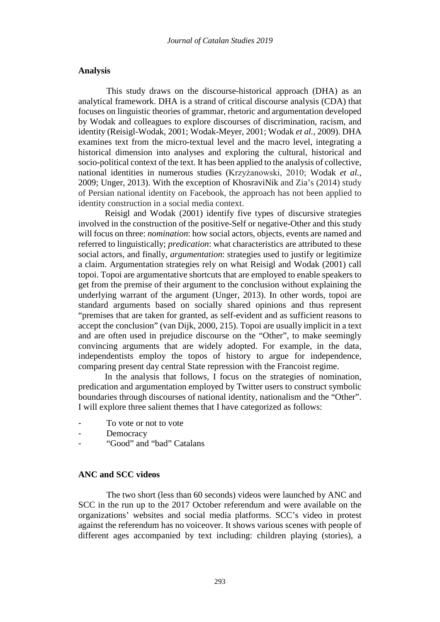#### **Analysis**

This study draws on the discourse-historical approach (DHA) as an analytical framework. DHA is a strand of critical discourse analysis (CDA) that focuses on linguistic theories of grammar, rhetoric and argumentation developed by Wodak and colleagues to explore discourses of discrimination, racism, and identity (Reisigl-Wodak, 2001; Wodak-Meyer, 2001; Wodak *et al.*, 2009). DHA examines text from the micro-textual level and the macro level, integrating a historical dimension into analyses and exploring the cultural, historical and socio-political context of the text. It has been applied to the analysis of collective, national identities in numerous studies (Krzyżanowski, 2010; Wodak *et al.*, 2009; Unger, 2013). With the exception of KhosraviNik and Zia's (2014) study of Persian national identity on Facebook, the approach has not been applied to identity construction in a social media context.

Reisigl and Wodak (2001) identify five types of discursive strategies involved in the construction of the positive-Self or negative-Other and this study will focus on three: *nomination*: how social actors, objects, events are named and referred to linguistically; *predication*: what characteristics are attributed to these social actors, and finally, *argumentation*: strategies used to justify or legitimize a claim. Argumentation strategies rely on what Reisigl and Wodak (2001) call topoi. Topoi are argumentative shortcuts that are employed to enable speakers to get from the premise of their argument to the conclusion without explaining the underlying warrant of the argument (Unger, 2013). In other words, topoi are standard arguments based on socially shared opinions and thus represent "premises that are taken for granted, as self-evident and as sufficient reasons to accept the conclusion" (van Dijk, 2000, 215). Topoi are usually implicit in a text and are often used in prejudice discourse on the "Other", to make seemingly convincing arguments that are widely adopted. For example, in the data, independentists employ the topos of history to argue for independence, comparing present day central State repression with the Francoist regime.

In the analysis that follows, I focus on the strategies of nomination, predication and argumentation employed by Twitter users to construct symbolic boundaries through discourses of national identity, nationalism and the "Other". I will explore three salient themes that I have categorized as follows:

- To vote or not to vote
- **Democracy**
- "Good" and "bad" Catalans

#### **ANC and SCC videos**

The two short (less than 60 seconds) videos were launched by ANC and SCC in the run up to the 2017 October referendum and were available on the organizations' websites and social media platforms. SCC's video in protest against the referendum has no voiceover. It shows various scenes with people of different ages accompanied by text including: children playing (stories), a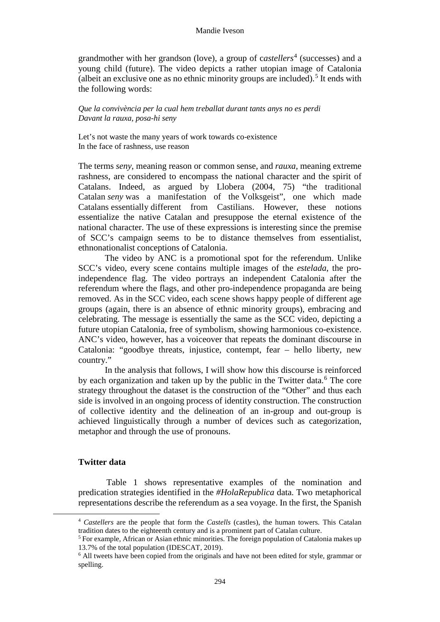grandmother with her grandson (love), a group of castellers<sup>[4](#page-5-0)</sup> (successes) and a young child (future). The video depicts a rather utopian image of Catalonia (albeit an exclusive one as no ethnic minority groups are included).<sup>[5](#page-5-1)</sup> It ends with the following words:

*Que la convivència per la cual hem treballat durant tants anys no es perdi Davant la rauxa, posa-hi seny*

Let's not waste the many years of work towards co-existence In the face of rashness, use reason

The terms *seny*, meaning reason or common sense, and *rauxa*, meaning extreme rashness, are considered to encompass the national character and the spirit of Catalans. Indeed, as argued by Llobera (2004, 75) "the traditional Catalan *seny* was a manifestation of the Volksgeist", one which made Catalans essentially different from Castilians. However, these notions essentialize the native Catalan and presuppose the eternal existence of the national character. The use of these expressions is interesting since the premise of SCC's campaign seems to be to distance themselves from essentialist, ethnonationalist conceptions of Catalonia.

The video by ANC is a promotional spot for the referendum. Unlike SCC's video, every scene contains multiple images of the *estelada*, the proindependence flag. The video portrays an independent Catalonia after the referendum where the flags, and other pro-independence propaganda are being removed. As in the SCC video, each scene shows happy people of different age groups (again, there is an absence of ethnic minority groups), embracing and celebrating. The message is essentially the same as the SCC video, depicting a future utopian Catalonia, free of symbolism, showing harmonious co-existence. ANC's video, however, has a voiceover that repeats the dominant discourse in Catalonia: "goodbye threats, injustice, contempt, fear – hello liberty, new country."

In the analysis that follows, I will show how this discourse is reinforced by each organization and taken up by the public in the Twitter data.<sup>[6](#page-5-2)</sup> The core strategy throughout the dataset is the construction of the "Other" and thus each side is involved in an ongoing process of identity construction. The construction of collective identity and the delineation of an in-group and out-group is achieved linguistically through a number of devices such as categorization, metaphor and through the use of pronouns.

#### **Twitter data**

<span id="page-5-2"></span><span id="page-5-1"></span><span id="page-5-0"></span>**.** 

Table 1 shows representative examples of the nomination and predication strategies identified in the *#HolaRepublica* data. Two metaphorical representations describe the referendum as a sea voyage. In the first, the Spanish

<sup>4</sup> *Castellers* are the people that form the *Castells* (castles), the human towers. This Catalan tradition dates to the eighteenth century and is a prominent part of Catalan culture.

<sup>5</sup> For example, African or Asian ethnic minorities. The foreign population of Catalonia makes up 13.7% of the total population (IDESCAT, 2019).

<sup>6</sup> All tweets have been copied from the originals and have not been edited for style, grammar or spelling.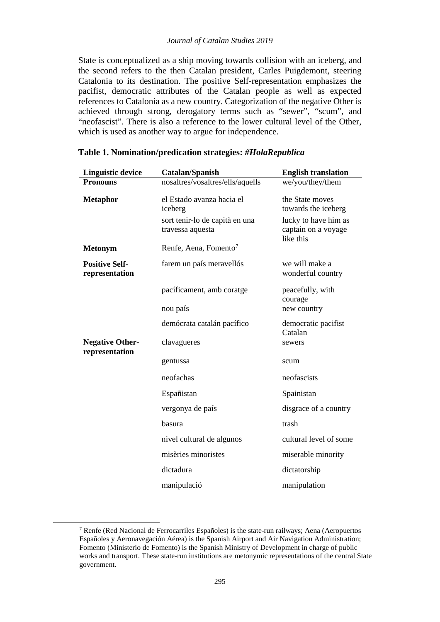#### *Journal of Catalan Studies 2019*

State is conceptualized as a ship moving towards collision with an iceberg, and the second refers to the then Catalan president, Carles Puigdemont, steering Catalonia to its destination. The positive Self-representation emphasizes the pacifist, democratic attributes of the Catalan people as well as expected references to Catalonia as a new country. Categorization of the negative Other is achieved through strong, derogatory terms such as "sewer", "scum", and "neofascist". There is also a reference to the lower cultural level of the Other, which is used as another way to argue for independence.

| <b>Linguistic device</b>                | Catalan/Spanish                                                                            | <b>English translation</b>                                                                         |
|-----------------------------------------|--------------------------------------------------------------------------------------------|----------------------------------------------------------------------------------------------------|
| <b>Pronouns</b>                         | nosaltres/vosaltres/ells/aquells                                                           | we/you/they/them                                                                                   |
| <b>Metaphor</b>                         | el Estado avanza hacia el<br>iceberg<br>sort tenir-lo de capità en una<br>travessa aquesta | the State moves<br>towards the iceberg<br>lucky to have him as<br>captain on a voyage<br>like this |
| <b>Metonym</b>                          | Renfe, Aena, Fomento <sup>7</sup>                                                          |                                                                                                    |
| <b>Positive Self-</b><br>representation | farem un país meravellós                                                                   | we will make a<br>wonderful country                                                                |
|                                         | pacíficament, amb coratge                                                                  | peacefully, with<br>courage                                                                        |
|                                         | nou país                                                                                   | new country                                                                                        |
|                                         | demócrata catalán pacífico                                                                 | democratic pacifist<br>Catalan                                                                     |
| <b>Negative Other-</b>                  | clavagueres                                                                                | sewers                                                                                             |
| representation                          | gentussa                                                                                   | scum                                                                                               |
|                                         | neofachas                                                                                  | neofascists                                                                                        |
|                                         | Españistan                                                                                 | Spainistan                                                                                         |
|                                         | vergonya de país                                                                           | disgrace of a country                                                                              |
|                                         | basura                                                                                     | trash                                                                                              |
|                                         | nivel cultural de algunos                                                                  | cultural level of some                                                                             |
|                                         | misèries minoristes                                                                        | miserable minority                                                                                 |
|                                         | dictadura                                                                                  | dictatorship                                                                                       |
|                                         | manipulació                                                                                | manipulation                                                                                       |

### **Table 1. Nomination/predication strategies:** *#HolaRepublica*

<span id="page-6-0"></span>**.** 

 $\frac{7}{7}$  Renfe (Red Nacional de Ferrocarriles Españoles) is the state-run railways; Aena (Aeropuertos Españoles y Aeronavegación Aérea) is the Spanish Airport and Air Navigation Administration; Fomento (Ministerio de Fomento) is the Spanish Ministry of Development in charge of public works and transport. These state-run institutions are metonymic representations of the central State government.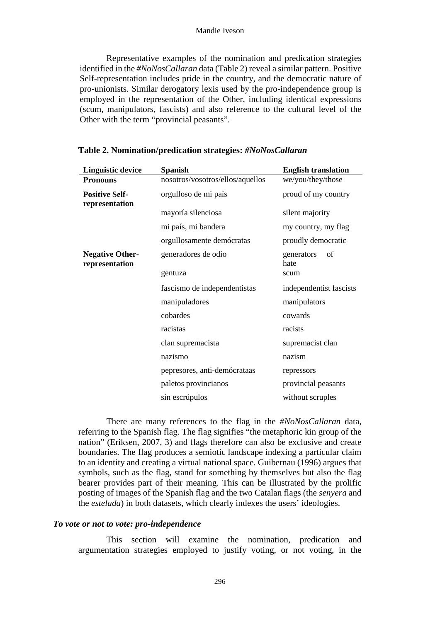#### Mandie Iveson

Representative examples of the nomination and predication strategies identified in the *#NoNosCallaran* data (Table 2) reveal a similar pattern. Positive Self-representation includes pride in the country, and the democratic nature of pro-unionists. Similar derogatory lexis used by the pro-independence group is employed in the representation of the Other, including identical expressions (scum, manipulators, fascists) and also reference to the cultural level of the Other with the term "provincial peasants".

| <b>Linguistic device</b>                 | <b>Spanish</b>                   | <b>English translation</b> |
|------------------------------------------|----------------------------------|----------------------------|
| <b>Pronouns</b>                          | nosotros/vosotros/ellos/aquellos | we/you/they/those          |
| <b>Positive Self-</b><br>representation  | orgulloso de mi país             | proud of my country        |
|                                          | mayoría silenciosa               | silent majority            |
|                                          | mi país, mi bandera              | my country, my flag        |
|                                          | orgullosamente demócratas        | proudly democratic         |
| <b>Negative Other-</b><br>representation | generadores de odio              | of<br>generators<br>hate   |
|                                          | gentuza                          | scum                       |
|                                          | fascismo de independentistas     | independentist fascists    |
|                                          | manipuladores                    | manipulators               |
|                                          | cobardes                         | cowards                    |
|                                          | racistas                         | racists                    |
|                                          | clan supremacista                | supremacist clan           |
|                                          | nazismo                          | nazism                     |
|                                          | pepresores, anti-demócrataas     | repressors                 |
|                                          | paletos provincianos             | provincial peasants        |
|                                          | sin escrúpulos                   | without scruples           |

#### **Table 2. Nomination/predication strategies:** *#NoNosCallaran*

There are many references to the flag in the *#NoNosCallaran* data, referring to the Spanish flag. The flag signifies "the metaphoric kin group of the nation" (Eriksen, 2007, 3) and flags therefore can also be exclusive and create boundaries. The flag produces a semiotic landscape indexing a particular claim to an identity and creating a virtual national space. Guibernau (1996) argues that symbols, such as the flag, stand for something by themselves but also the flag bearer provides part of their meaning. This can be illustrated by the prolific posting of images of the Spanish flag and the two Catalan flags (the *senyera* and the *estelada*) in both datasets, which clearly indexes the users' ideologies.

#### *To vote or not to vote: pro-independence*

This section will examine the nomination, predication and argumentation strategies employed to justify voting, or not voting, in the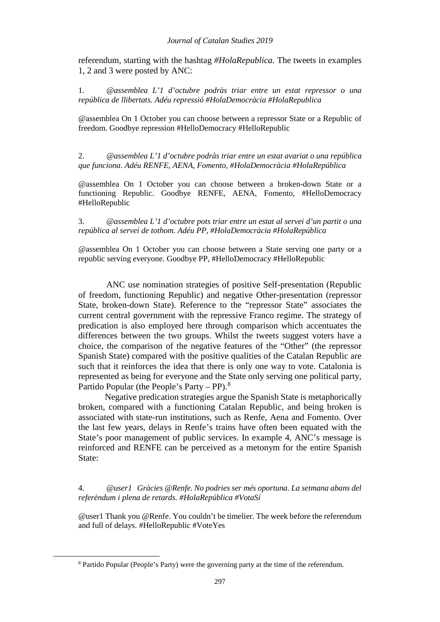referendum, starting with the hashtag *#HolaRepublica*. The tweets in examples 1, 2 and 3 were posted by ANC:

1. *@assemblea L'1 d'octubre podràs triar entre un estat repressor o una república de llibertats. Adéu repressió #HolaDemocràcia #HolaRepublica*

@assemblea On 1 October you can choose between a repressor State or a Republic of freedom. Goodbye repression #HelloDemocracy #HelloRepublic

2. *@assemblea L'1 d'octubre podràs triar entre un estat avariat o una república que funciona. Adéu RENFE, AENA, Fomento, #HolaDemocràcia #HolaRepública*

@assemblea On 1 October you can choose between a broken-down State or a functioning Republic. Goodbye RENFE, AENA, Fomento, #HelloDemocracy #HelloRepublic

3. *@assemblea L'1 d'octubre pots triar entre un estat al servei d'un partit o una república al servei de tothom. Adéu PP, #HolaDemocràcia #HolaRepública*

@assemblea On 1 October you can choose between a State serving one party or a republic serving everyone. Goodbye PP, #HelloDemocracy #HelloRepublic

ANC use nomination strategies of positive Self-presentation (Republic of freedom, functioning Republic) and negative Other-presentation (repressor State, broken-down State). Reference to the "repressor State" associates the current central government with the repressive Franco regime. The strategy of predication is also employed here through comparison which accentuates the differences between the two groups. Whilst the tweets suggest voters have a choice, the comparison of the negative features of the "Other" (the repressor Spanish State) compared with the positive qualities of the Catalan Republic are such that it reinforces the idea that there is only one way to vote. Catalonia is represented as being for everyone and the State only serving one political party, Partido Popular (the People's Party – PP).<sup>[8](#page-8-0)</sup>

Negative predication strategies argue the Spanish State is metaphorically broken, compared with a functioning Catalan Republic, and being broken is associated with state-run institutions, such as Renfe, Aena and Fomento. Over the last few years, delays in Renfe's trains have often been equated with the State's poor management of public services. In example 4, ANC's message is reinforced and RENFE can be perceived as a metonym for the entire Spanish State:

4. *@user1 Gràcies @Renfe. No podries ser més oportuna. La setmana abans del referèndum i plena de retards. #HolaRepública #VotaSí*

@user1 Thank you @Renfe. You couldn't be timelier. The week before the referendum and full of delays. #HelloRepublic #VoteYes

<span id="page-8-0"></span> $\overline{a}$ 

<sup>8</sup> Partido Popular (People's Party) were the governing party at the time of the referendum.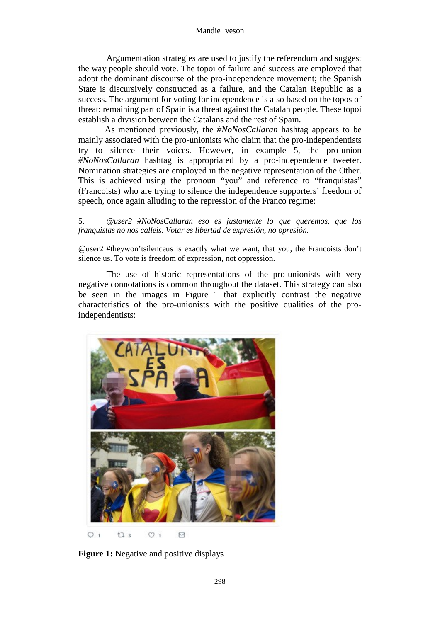#### Mandie Iveson

Argumentation strategies are used to justify the referendum and suggest the way people should vote. The topoi of failure and success are employed that adopt the dominant discourse of the pro-independence movement; the Spanish State is discursively constructed as a failure, and the Catalan Republic as a success. The argument for voting for independence is also based on the topos of threat: remaining part of Spain is a threat against the Catalan people. These topoi establish a division between the Catalans and the rest of Spain.

As mentioned previously, the *#NoNosCallaran* hashtag appears to be mainly associated with the pro-unionists who claim that the pro-independentists try to silence their voices. However, in example 5, the pro-union *#NoNosCallaran* hashtag is appropriated by a pro-independence tweeter. Nomination strategies are employed in the negative representation of the Other. This is achieved using the pronoun "you" and reference to "franquistas" (Francoists) who are trying to silence the independence supporters' freedom of speech, once again alluding to the repression of the Franco regime:

5. *@user2 #NoNosCallaran eso es justamente lo que queremos, que los franquistas no nos calleis. Votar es libertad de expresión, no opresión.* 

@user2 #theywon'tsilenceus is exactly what we want, that you, the Francoists don't silence us. To vote is freedom of expression, not oppression.

The use of historic representations of the pro-unionists with very negative connotations is common throughout the dataset. This strategy can also be seen in the images in Figure 1 that explicitly contrast the negative characteristics of the pro-unionists with the positive qualities of the proindependentists:



**Figure 1:** Negative and positive displays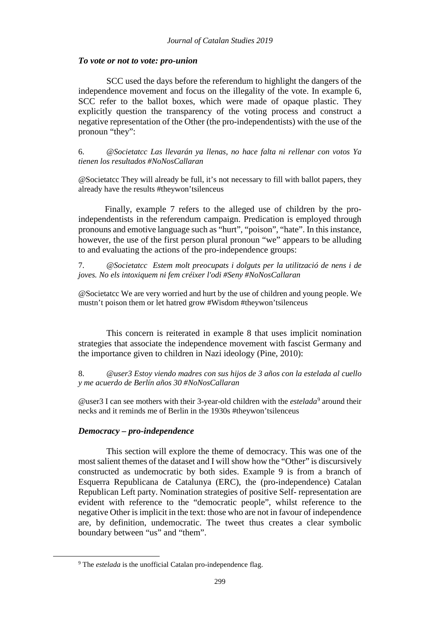## *To vote or not to vote: pro-union*

SCC used the days before the referendum to highlight the dangers of the independence movement and focus on the illegality of the vote. In example 6, SCC refer to the ballot boxes, which were made of opaque plastic. They explicitly question the transparency of the voting process and construct a negative representation of the Other (the pro-independentists) with the use of the pronoun "they":

6. *@Societatcc Las llevarán ya llenas, no hace falta ni rellenar con votos Ya tienen los resultados #NoNosCallaran*

@Societatcc They will already be full, it's not necessary to fill with ballot papers, they already have the results #theywon'tsilenceus

Finally, example 7 refers to the alleged use of children by the proindependentists in the referendum campaign. Predication is employed through pronouns and emotive language such as "hurt", "poison", "hate". In this instance, however, the use of the first person plural pronoun "we" appears to be alluding to and evaluating the actions of the pro-independence groups:

7. *@Societatcc Estem molt preocupats i dolguts per la utilització de nens i de joves. No els intoxiquem ni fem créixer l'odi #Seny #NoNosCallaran*

@Societatcc We are very worried and hurt by the use of children and young people. We mustn't poison them or let hatred grow #Wisdom #theywon'tsilenceus

This concern is reiterated in example 8 that uses implicit nomination strategies that associate the independence movement with fascist Germany and the importance given to children in Nazi ideology (Pine, 2010):

8. *@user3 Estoy viendo madres con sus hijos de 3 años con la estelada al cuello y me acuerdo de Berlín años 30 #NoNosCallaran*

@user3 I can see mothers with their 3-year-old children with the *estelada*[9](#page-10-0) around their necks and it reminds me of Berlin in the 1930s #theywon'tsilenceus

### *Democracy – pro-independence*

<span id="page-10-0"></span> $\overline{a}$ 

This section will explore the theme of democracy. This was one of the most salient themes of the dataset and I will show how the "Other" is discursively constructed as undemocratic by both sides. Example 9 is from a branch of Esquerra Republicana de Catalunya (ERC), the (pro-independence) Catalan Republican Left party. Nomination strategies of positive Self- representation are evident with reference to the "democratic people", whilst reference to the negative Other is implicit in the text: those who are not in favour of independence are, by definition, undemocratic. The tweet thus creates a clear symbolic boundary between "us" and "them".

<sup>9</sup> The *estelada* is the unofficial Catalan pro-independence flag.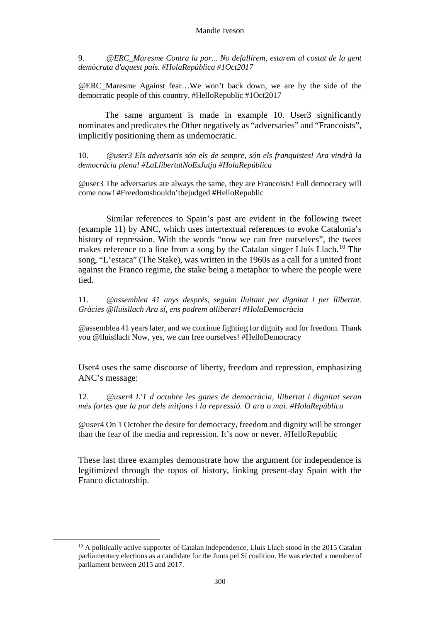9. *@ERC\_Maresme Contra la por... No defallirem, estarem al costat de la gent demòcrata d'aquest país. #HolaRepública #1Oct2017* 

@ERC\_Maresme Against fear…We won't back down, we are by the side of the democratic people of this country. #HelloRepublic #1Oct2017

The same argument is made in example 10. User3 significantly nominates and predicates the Other negatively as "adversaries" and "Francoists", implicitly positioning them as undemocratic.

10. *@user3 Els adversaris són els de sempre, són els franquistes! Ara vindrà la democràcia plena! #LaLlibertatNoEsJutja #HolaRepública*

@user3 The adversaries are always the same, they are Francoists! Full democracy will come now! #Freedomshouldn'tbejudged #HelloRepublic

Similar references to Spain's past are evident in the following tweet (example 11) by ANC, which uses intertextual references to evoke Catalonia's history of repression. With the words "now we can free ourselves", the tweet makes reference to a line from a song by the Catalan singer Lluís Llach.<sup>[10](#page-11-0)</sup> The song, "L'estaca" (The Stake), was written in the 1960s as a call for a united front against the Franco regime, the stake being a metaphor to where the people were tied.

11. *@assemblea 41 anys després, seguim lluitant per dignitat i per llibertat. Gràcies @lluisllach Ara sí, ens podrem alliberar! #HolaDemocràcia*

@assemblea 41 years later, and we continue fighting for dignity and for freedom. Thank you @lluisllach Now, yes, we can free ourselves! #HelloDemocracy

User4 uses the same discourse of liberty, freedom and repression, emphasizing ANC's message:

12. *@user4 L'1 d octubre les ganes de democràcia, llibertat i dignitat seran més fortes que la por dels mitjans i la repressió. O ara o mai. #HolaRepública*

@user4 On 1 October the desire for democracy, freedom and dignity will be stronger than the fear of the media and repression. It's now or never. #HelloRepublic

These last three examples demonstrate how the argument for independence is legitimized through the topos of history, linking present-day Spain with the Franco dictatorship.

<span id="page-11-0"></span>**.** 

<sup>&</sup>lt;sup>10</sup> A politically active supporter of Catalan independence. Lluís Llach stood in the 2015 Catalan parliamentary elections as a candidate for the Junts pel Sí coalition. He was elected a member of parliament between 2015 and 2017.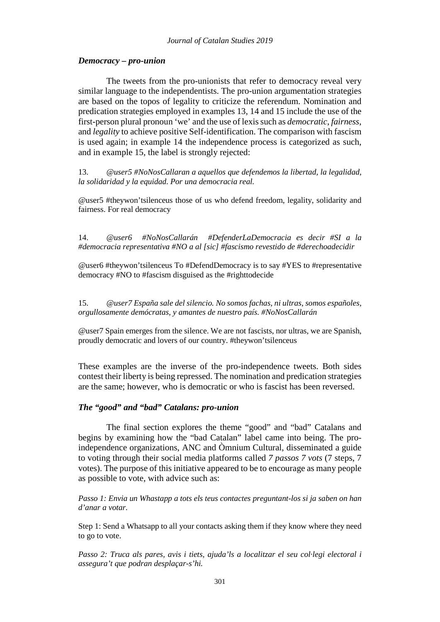### *Democracy – pro-union*

The tweets from the pro-unionists that refer to democracy reveal very similar language to the independentists. The pro-union argumentation strategies are based on the topos of legality to criticize the referendum. Nomination and predication strategies employed in examples 13, 14 and 15 include the use of the first-person plural pronoun 'we' and the use of lexissuch as *democratic*, *fairness*, and *legality* to achieve positive Self-identification. The comparison with fascism is used again; in example 14 the independence process is categorized as such, and in example 15, the label is strongly rejected:

13. *@user5 #NoNosCallaran a aquellos que defendemos la libertad, la legalidad, la solidaridad y la equidad. Por una democracia real.*

@user5 #theywon'tsilenceus those of us who defend freedom, legality, solidarity and fairness. For real democracy

14. *@user6 #NoNosCallarán #DefenderLaDemocracia es decir #SI a la #democracia representativa #NO a al [sic] #fascismo revestido de #derechoadecidir*

@user6 #theywon'tsilenceus To #DefendDemocracy is to say #YES to #representative democracy #NO to #fascism disguised as the #righttodecide

15. *@user7 España sale del silencio. No somos fachas, ni ultras, somos españoles, orgullosamente demócratas, y amantes de nuestro país. #NoNosCallarán*

@user7 Spain emerges from the silence. We are not fascists, nor ultras, we are Spanish, proudly democratic and lovers of our country. #theywon'tsilenceus

These examples are the inverse of the pro-independence tweets. Both sides contest their liberty is being repressed. The nomination and predication strategies are the same; however, who is democratic or who is fascist has been reversed.

#### *The "good" and "bad" Catalans: pro-union*

The final section explores the theme "good" and "bad" Catalans and begins by examining how the "bad Catalan" label came into being. The proindependence organizations, ANC and Òmnium Cultural, disseminated a guide to voting through their social media platforms called *7 passos 7 vots* (7 steps, 7 votes). The purpose of this initiative appeared to be to encourage as many people as possible to vote, with advice such as:

*Passo 1: Envia un Whastapp a tots els teus contactes preguntant-los si ja saben on han d'anar a votar.*

Step 1: Send a Whatsapp to all your contacts asking them if they know where they need to go to vote.

*Passo 2: Truca als pares, avis i tiets, ajuda'ls a localitzar el seu col·legi electoral i assegura't que podran desplaçar-s'hi.*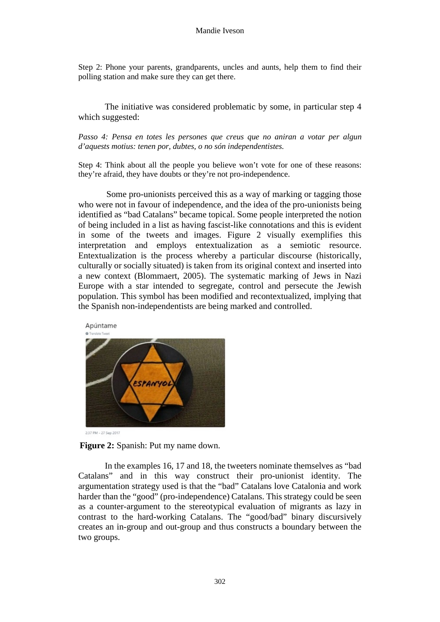Step 2: Phone your parents, grandparents, uncles and aunts, help them to find their polling station and make sure they can get there.

The initiative was considered problematic by some, in particular step 4 which suggested:

*Passo 4: Pensa en totes les persones que creus que no aniran a votar per algun d'aquests motius: tenen por, dubtes, o no són independentistes.*

Step 4: Think about all the people you believe won't vote for one of these reasons: they're afraid, they have doubts or they're not pro-independence.

Some pro-unionists perceived this as a way of marking or tagging those who were not in favour of independence, and the idea of the pro-unionists being identified as "bad Catalans" became topical. Some people interpreted the notion of being included in a list as having fascist-like connotations and this is evident in some of the tweets and images. Figure 2 visually exemplifies this interpretation and employs entextualization as a semiotic resource. Entextualization is the process whereby a particular discourse (historically, culturally or socially situated) is taken from its original context and inserted into a new context (Blommaert, 2005). The systematic marking of Jews in Nazi Europe with a star intended to segregate, control and persecute the Jewish population. This symbol has been modified and recontextualized, implying that the Spanish non-independentists are being marked and controlled.



2-37 PM - 27 Sep 2017

**Figure 2:** Spanish: Put my name down.

In the examples 16, 17 and 18, the tweeters nominate themselves as "bad Catalans" and in this way construct their pro-unionist identity. The argumentation strategy used is that the "bad" Catalans love Catalonia and work harder than the "good" (pro-independence) Catalans. This strategy could be seen as a counter-argument to the stereotypical evaluation of migrants as lazy in contrast to the hard-working Catalans. The "good/bad" binary discursively creates an in-group and out-group and thus constructs a boundary between the two groups.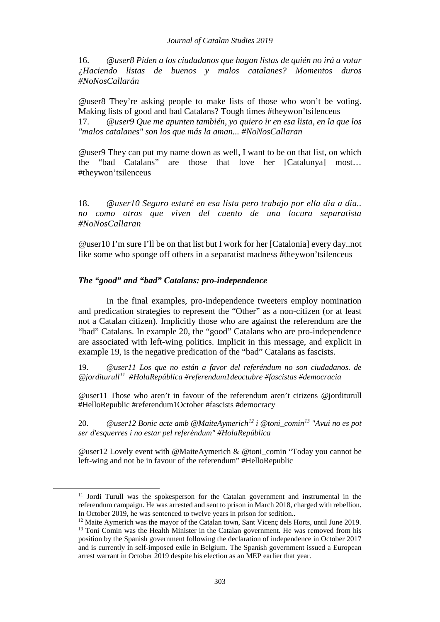16. *@user8 Piden a los ciudadanos que hagan listas de quién no irá a votar ¿Haciendo listas de buenos y malos catalanes? Momentos duros #NoNosCallarán* 

@user8 They're asking people to make lists of those who won't be voting. Making lists of good and bad Catalans? Tough times #theywon'tsilenceus

17. *@user9 Que me apunten también, yo quiero ir en esa lista, en la que los "malos catalanes" son los que más la aman... #NoNosCallaran*

@user9 They can put my name down as well, I want to be on that list, on which the "bad Catalans" are those that love her [Catalunya] most… #theywon'tsilenceus

18. *@user10 Seguro estaré en esa lista pero trabajo por ella dia a dia.. no como otros que viven del cuento de una locura separatista #NoNosCallaran*

@user10 I'm sure I'll be on that list but I work for her [Catalonia] every day..not like some who sponge off others in a separatist madness #theywon'tsilenceus

## *The "good" and "bad" Catalans: pro-independence*

<span id="page-14-2"></span><span id="page-14-1"></span><span id="page-14-0"></span>**.** 

In the final examples, pro-independence tweeters employ nomination and predication strategies to represent the "Other" as a non-citizen (or at least not a Catalan citizen). Implicitly those who are against the referendum are the "bad" Catalans. In example 20, the "good" Catalans who are pro-independence are associated with left-wing politics. Implicit in this message, and explicit in example 19, is the negative predication of the "bad" Catalans as fascists.

19. *@user11 Los que no están a favor del referéndum no son ciudadanos. de @jorditurull[11](#page-14-0) #HolaRepública #referendum1deoctubre #fascistas #democracia*

@user11 Those who aren't in favour of the referendum aren't citizens @jorditurull #HelloRepublic #referendum1October #fascists #democracy

20. *@user12 Bonic acte amb @MaiteAymerich[12](#page-14-1) i @toni\_comin[13](#page-14-2) "Avui no es pot ser d'esquerres i no estar pel referèndum" #HolaRepública* 

@user12 Lovely event with @MaiteAymerich & @toni\_comin "Today you cannot be left-wing and not be in favour of the referendum" #HelloRepublic

<sup>&</sup>lt;sup>11</sup> Jordi Turull was the spokesperson for the Catalan government and instrumental in the referendum campaign. He was arrested and sent to prison in March 2018, charged with rebellion. In October 2019, he was sentenced to twelve years in prison for sedition..

<sup>&</sup>lt;sup>12</sup> Maite Aymerich was the mayor of the Catalan town, Sant Vicenc dels Horts, until June 2019.

<sup>&</sup>lt;sup>13</sup> Toni Comin was the Health Minister in the Catalan government. He was removed from his position by the Spanish government following the declaration of independence in October 2017 and is currently in self-imposed exile in Belgium. The Spanish government issued a European arrest warrant in October 2019 despite his election as an MEP earlier that year.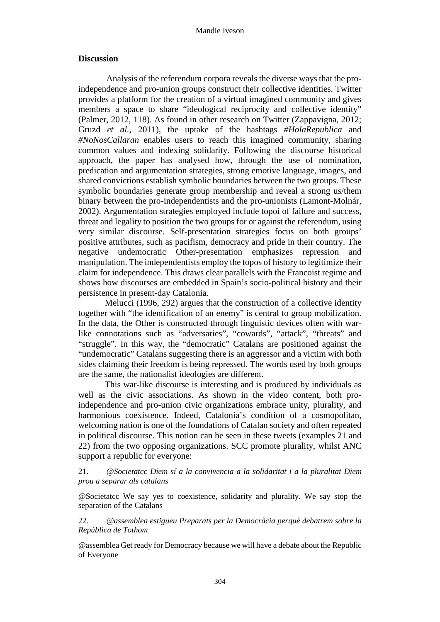### **Discussion**

Analysis of the referendum corpora reveals the diverse ways that the proindependence and pro-union groups construct their collective identities. Twitter provides a platform for the creation of a virtual imagined community and gives members a space to share "ideological reciprocity and collective identity" (Palmer, 2012, 118). As found in other research on Twitter (Zappavigna, 2012; Gruzd *et al.*, 2011), the uptake of the hashtags *#HolaRepublica* and *#NoNosCallaran* enables users to reach this imagined community, sharing common values and indexing solidarity. Following the discourse historical approach, the paper has analysed how, through the use of nomination, predication and argumentation strategies, strong emotive language, images, and shared convictions establish symbolic boundaries between the two groups. These symbolic boundaries generate group membership and reveal a strong us/them binary between the pro-independentists and the pro-unionists (Lamont-Molnár, 2002). Argumentation strategies employed include topoi of failure and success, threat and legality to position the two groups for or against the referendum, using very similar discourse. Self-presentation strategies focus on both groups' positive attributes, such as pacifism, democracy and pride in their country. The negative undemocratic Other-presentation emphasizes repression and manipulation. The independentists employ the topos of history to legitimize their claim for independence. This draws clear parallels with the Francoist regime and shows how discourses are embedded in Spain's socio-political history and their persistence in present-day Catalonia.

Melucci (1996, 292) argues that the construction of a collective identity together with "the identification of an enemy" is central to group mobilization. In the data, the Other is constructed through linguistic devices often with warlike connotations such as "adversaries", "cowards", "attack", "threats" and "struggle". In this way, the "democratic" Catalans are positioned against the "undemocratic" Catalans suggesting there is an aggressor and a victim with both sides claiming their freedom is being repressed. The words used by both groups are the same, the nationalist ideologies are different.

This war-like discourse is interesting and is produced by individuals as well as the civic associations. As shown in the video content, both proindependence and pro-union civic organizations embrace unity, plurality, and harmonious coexistence. Indeed, Catalonia's condition of a cosmopolitan, welcoming nation is one of the foundations of Catalan society and often repeated in political discourse. This notion can be seen in these tweets (examples 21 and 22) from the two opposing organizations. SCC promote plurality, whilst ANC support a republic for everyone:

21. *@Societatcc Diem sí a la convivencia a la solidaritat i a la pluralitat Diem prou a separar als catalans* 

@Societatcc We say yes to coexistence, solidarity and plurality. We say stop the separation of the Catalans

22. *@assemblea estigueu Preparats per la Democràcia perquè debatrem sobre la República de Tothom*

@assemblea Get ready for Democracy because we will have a debate about the Republic of Everyone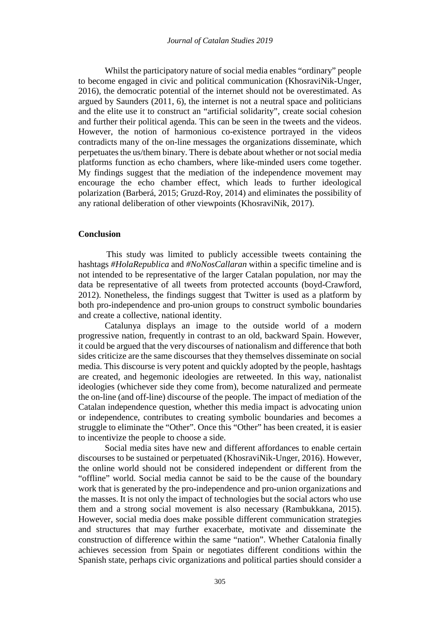Whilst the participatory nature of social media enables "ordinary" people to become engaged in civic and political communication (KhosraviNik-Unger, 2016), the democratic potential of the internet should not be overestimated. As argued by Saunders (2011, 6), the internet is not a neutral space and politicians and the elite use it to construct an "artificial solidarity", create social cohesion and further their political agenda. This can be seen in the tweets and the videos. However, the notion of harmonious co-existence portrayed in the videos contradicts many of the on-line messages the organizations disseminate, which perpetuates the us/them binary. There is debate about whether or not social media platforms function as echo chambers, where like-minded users come together. My findings suggest that the mediation of the independence movement may encourage the echo chamber effect, which leads to further ideological polarization (Barberá, 2015; Gruzd-Roy, 2014) and eliminates the possibility of any rational deliberation of other viewpoints (KhosraviNik, 2017).

#### **Conclusion**

This study was limited to publicly accessible tweets containing the hashtags *#HolaRepublica* and *#NoNosCallaran* within a specific timeline and is not intended to be representative of the larger Catalan population, nor may the data be representative of all tweets from protected accounts (boyd-Crawford, 2012). Nonetheless, the findings suggest that Twitter is used as a platform by both pro-independence and pro-union groups to construct symbolic boundaries and create a collective, national identity.

Catalunya displays an image to the outside world of a modern progressive nation, frequently in contrast to an old, backward Spain. However, it could be argued that the very discourses of nationalism and difference that both sides criticize are the same discourses that they themselves disseminate on social media. This discourse is very potent and quickly adopted by the people, hashtags are created, and hegemonic ideologies are retweeted. In this way, nationalist ideologies (whichever side they come from), become naturalized and permeate the on-line (and off-line) discourse of the people. The impact of mediation of the Catalan independence question, whether this media impact is advocating union or independence, contributes to creating symbolic boundaries and becomes a struggle to eliminate the "Other". Once this "Other" has been created, it is easier to incentivize the people to choose a side.

Social media sites have new and different affordances to enable certain discourses to be sustained or perpetuated (KhosraviNik-Unger, 2016). However, the online world should not be considered independent or different from the "offline" world. Social media cannot be said to be the cause of the boundary work that is generated by the pro-independence and pro-union organizations and the masses. It is not only the impact of technologies but the social actors who use them and a strong social movement is also necessary (Rambukkana, 2015). However, social media does make possible different communication strategies and structures that may further exacerbate, motivate and disseminate the construction of difference within the same "nation". Whether Catalonia finally achieves secession from Spain or negotiates different conditions within the Spanish state, perhaps civic organizations and political parties should consider a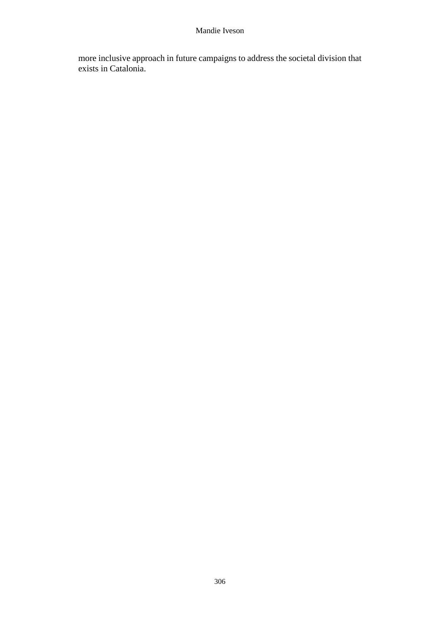more inclusive approach in future campaigns to address the societal division that exists in Catalonia.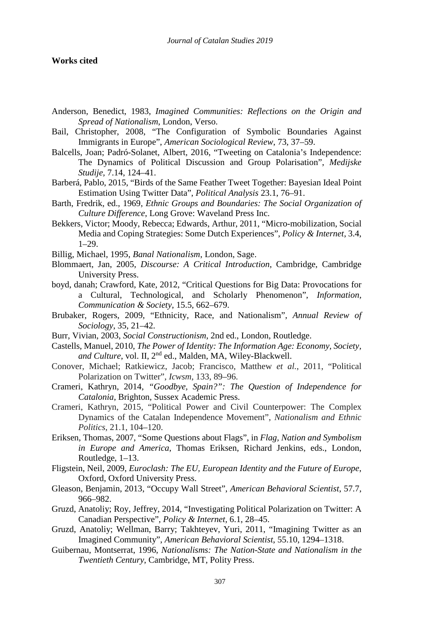### **Works cited**

- Anderson, Benedict, 1983, *Imagined Communities: Reflections on the Origin and Spread of Nationalism*, London, Verso.
- Bail, Christopher, 2008, "The Configuration of Symbolic Boundaries Against Immigrants in Europe", *American Sociological Review*, 73, 37–59.
- Balcells, Joan; Padró-Solanet, Albert, 2016, "Tweeting on Catalonia's Independence: The Dynamics of Political Discussion and Group Polarisation", *Medijske Studije,* 7.14, 124–41.
- Barberá, Pablo, 2015, "Birds of the Same Feather Tweet Together: Bayesian Ideal Point Estimation Using Twitter Data", *Political Analysis* 23.1, 76–91.
- Barth, Fredrik, ed., 1969, *Ethnic Groups and Boundaries: The Social Organization of Culture Difference*, Long Grove: Waveland Press Inc.
- Bekkers, Victor; Moody, Rebecca; Edwards, Arthur, 2011, "Micro-mobilization, Social Media and Coping Strategies: Some Dutch Experiences", *Policy & Internet*, 3.4, 1–29.
- Billig, Michael, 1995, *Banal Nationalism*, London, Sage.
- Blommaert, Jan, 2005, *Discourse: A Critical Introduction*, Cambridge, Cambridge University Press.
- boyd, danah; Crawford, Kate, 2012, "Critical Questions for Big Data: Provocations for a Cultural, Technological, and Scholarly Phenomenon", *Information, Communication & Society*, 15.5, 662–679.
- Brubaker, Rogers, 2009, "Ethnicity, Race, and Nationalism", *Annual Review of Sociology*, 35, 21–42.
- Burr, Vivian, 2003, *Social Constructionism*, 2nd ed., London, Routledge.
- Castells, Manuel, 2010, *The Power of Identity: The Information Age: Economy, Society,*  and Culture, vol. II, 2<sup>nd</sup> ed., Malden, MA, Wiley-Blackwell.
- Conover, Michael; Ratkiewicz, Jacob; Francisco, Matthew *et al.*, 2011, "Political Polarization on Twitter", *Icwsm*, 133, 89–96.
- Crameri, Kathryn, 2014, *"Goodbye, Spain?": The Question of Independence for Catalonia*, Brighton, Sussex Academic Press.
- Crameri, Kathryn, 2015, "Political Power and Civil Counterpower: The Complex Dynamics of the Catalan Independence Movement", *Nationalism and Ethnic Politics*, 21.1, 104–120.
- Eriksen, Thomas, 2007, "Some Questions about Flags", in *Flag, Nation and Symbolism in Europe and America*, Thomas Eriksen, Richard Jenkins, eds., London, Routledge, 1–13.
- Fligstein, Neil, 2009, *Euroclash: The EU, European Identity and the Future of Europe*, Oxford, Oxford University Press.
- Gleason, Benjamin, 2013, "Occupy Wall Street", *American Behavioral Scientist*, 57.7, 966–982.
- Gruzd, Anatoliy; Roy, Jeffrey, 2014, "Investigating Political Polarization on Twitter: A Canadian Perspective", *Policy & Internet,* 6.1, 28–45.
- Gruzd, Anatoliy; Wellman, Barry; Takhteyev, Yuri, 2011, "Imagining Twitter as an Imagined Community", *American Behavioral Scientist*, 55.10, 1294–1318.
- Guibernau, Montserrat, 1996, *Nationalisms: The Nation-State and Nationalism in the Twentieth Century*, Cambridge, MT, Polity Press.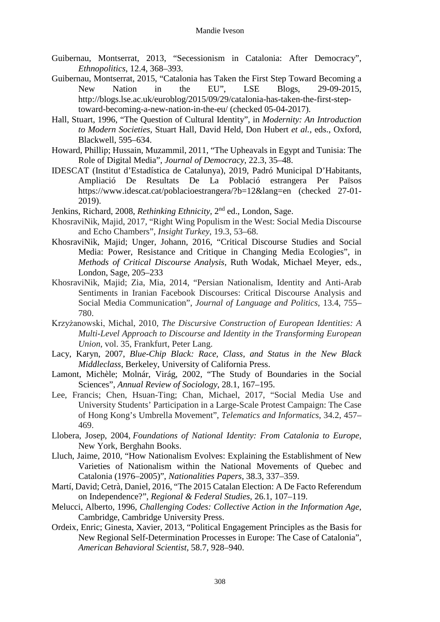- Guibernau, Montserrat, 2013, "Secessionism in Catalonia: After Democracy", *Ethnopolitics*, 12.4, 368–393.
- Guibernau, Montserrat, 2015, "Catalonia has Taken the First Step Toward Becoming a New Nation in the EU", LSE Blogs, 29-09-2015, http://blogs.lse.ac.uk/euroblog/2015/09/29/catalonia-has-taken-the-first-steptoward-becoming-a-new-nation-in-the-eu/ (checked 05-04-2017).
- Hall, Stuart, 1996, "The Question of Cultural Identity", in *Modernity: An Introduction to Modern Societies,* Stuart Hall, David Held, Don Hubert *et al.*, eds., Oxford, Blackwell, 595–634.
- Howard, Phillip; Hussain, Muzammil, 2011, "The Upheavals in Egypt and Tunisia: The Role of Digital Media", *Journal of Democracy*, 22.3, 35–48.
- IDESCAT (Institut d'Estadística de Catalunya), 2019, Padró Municipal D'Habitants, Ampliació De Resultats De La Població estrangera Per Països https://www.idescat.cat/poblacioestrangera/?b=12&lang=en (checked 27-01- 2019).
- Jenkins, Richard, 2008, *Rethinking Ethnicity*, 2nd ed., London, Sage.
- KhosraviNik, Majid, 2017, "Right Wing Populism in the West: Social Media Discourse and Echo Chambers", *Insight Turkey*, 19.3, 53–68.
- KhosraviNik, Majid; Unger, Johann, 2016, "Critical Discourse Studies and Social Media: Power, Resistance and Critique in Changing Media Ecologies", in *Methods of Critical Discourse Analysis*, Ruth Wodak, Michael Meyer, eds., London, Sage, 205–233
- KhosraviNik, Majid; Zia, Mia, 2014, "Persian Nationalism, Identity and Anti-Arab Sentiments in Iranian Facebook Discourses: Critical Discourse Analysis and Social Media Communication", *Journal of Language and Politics*, 13.4, 755– 780.
- Krzyżanowski, Michal, 2010, *The Discursive Construction of European Identities: A Multi-Level Approach to Discourse and Identity in the Transforming European Union*, vol. 35, Frankfurt, Peter Lang.
- Lacy, Karyn, 2007, *Blue-Chip Black: Race, Class, and Status in the New Black Middleclass*, Berkeley, University of California Press.
- Lamont, Michèle; Molnár, Virág, 2002, "The Study of Boundaries in the Social Sciences", *Annual Review of Sociology*, 28.1, 167–195.
- Lee, Francis; Chen, Hsuan-Ting; Chan, Michael, 2017, "Social Media Use and University Students' Participation in a Large-Scale Protest Campaign: The Case of Hong Kong's Umbrella Movement", *Telematics and Informatics*, 34.2, 457– 469.
- Llobera, Josep, 2004, *Foundations of National Identity: From Catalonia to Europe*, New York, Berghahn Books.
- Lluch, Jaime, 2010, "How Nationalism Evolves: Explaining the Establishment of New Varieties of Nationalism within the National Movements of Quebec and Catalonia (1976–2005)", *Nationalities Papers*, 38.3, 337–359.
- Martí, David; Cetrà, Daniel, 2016, "The 2015 Catalan Election: A De Facto Referendum on Independence?", *Regional & Federal Studies*, 26.1, 107–119.
- Melucci, Alberto, 1996, *Challenging Codes: Collective Action in the Information Age*, Cambridge, Cambridge University Press.
- Ordeix, Enric; Ginesta, Xavier, 2013, "Political Engagement Principles as the Basis for New Regional Self-Determination Processes in Europe: The Case of Catalonia", *American Behavioral Scientist*, 58.7, 928–940.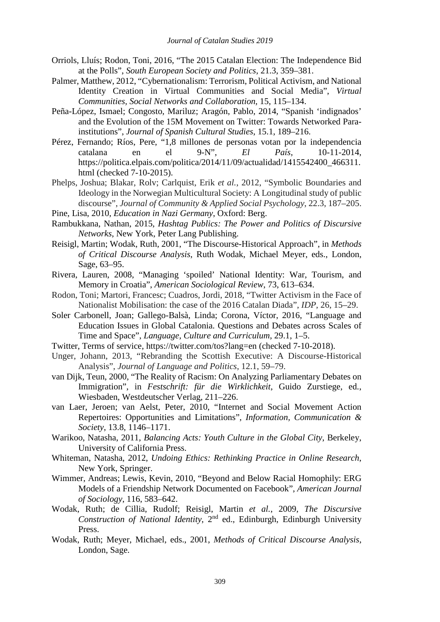- Orriols, Lluís; Rodon, Toni, 2016, "The 2015 Catalan Election: The Independence Bid at the Polls", *South European Society and Politics*, 21.3, 359–381.
- Palmer, Matthew, 2012, "Cybernationalism: Terrorism, Political Activism, and National Identity Creation in Virtual Communities and Social Media", *Virtual Communities, Social Networks and Collaboration*, 15, 115–134.
- Peña-López, Ismael; Congosto, Mariluz; Aragón, Pablo, 2014, "Spanish 'indignados' and the Evolution of the 15M Movement on Twitter: Towards Networked Parainstitutions", *Journal of Spanish Cultural Studies*, 15.1, 189–216.
- Pérez, Fernando; Ríos, Pere, "1,8 millones de personas votan por la independencia catalana en el 9-N", *El País*, 10-11-2014, https://politica.elpais.com/politica/2014/11/09/actualidad/1415542400\_466311. html (checked 7-10-2015).
- Phelps, Joshua; Blakar, Rolv; Carlquist, Erik *et al.*, 2012, "Symbolic Boundaries and Ideology in the Norwegian Multicultural Society: A Longitudinal study of public discourse", *Journal of Community & Applied Social Psychology*, 22.3, 187–205.
- Pine, Lisa, 2010, *Education in Nazi Germany*, Oxford: Berg.
- Rambukkana, Nathan, 2015, *Hashtag Publics: The Power and Politics of Discursive Networks*, New York, Peter Lang Publishing.
- Reisigl, Martin; Wodak, Ruth, 2001, "The Discourse-Historical Approach", in *Methods of Critical Discourse Analysis*, Ruth Wodak, Michael Meyer, eds., London, Sage, 63–95.
- Rivera, Lauren, 2008, "Managing 'spoiled' National Identity: War, Tourism, and Memory in Croatia", *American Sociological Review*, 73, 613–634.
- Rodon, Toni; Martori, Francesc; Cuadros, Jordi, 2018, "Twitter Activism in the Face of Nationalist Mobilisation: the case of the 2016 Catalan Diada", *IDP*, 26, 15–29.
- Soler Carbonell, Joan; Gallego-Balsà, Linda; Corona, Víctor, 2016, "Language and Education Issues in Global Catalonia. Questions and Debates across Scales of Time and Space", *Language, Culture and Curriculum*, 29.1, 1–5.
- Twitter, Terms of service, https://twitter.com/tos?lang=en (checked 7-10-2018).
- Unger, Johann, 2013, "Rebranding the Scottish Executive: A Discourse-Historical Analysis", *Journal of Language and Politics*, 12.1, 59–79.
- van Dijk, Teun, 2000, "The Reality of Racism: On Analyzing Parliamentary Debates on Immigration", in *Festschrift: für die Wirklichkeit*, Guido Zurstiege, ed., Wiesbaden, Westdeutscher Verlag, 211–226.
- van Laer, Jeroen; van Aelst, Peter, 2010, "Internet and Social Movement Action Repertoires: Opportunities and Limitations", *Information, Communication & Society*, 13.8, 1146–1171.
- Warikoo, Natasha, 2011, *Balancing Acts: Youth Culture in the Global City*, Berkeley, University of California Press.
- Whiteman, Natasha, 2012, *Undoing Ethics: Rethinking Practice in Online Research*, New York, Springer.
- Wimmer, Andreas; Lewis, Kevin, 2010, "Beyond and Below Racial Homophily: ERG Models of a Friendship Network Documented on Facebook", *American Journal of Sociology*, 116, 583–642.
- Wodak, Ruth; de Cillia, Rudolf; Reisigl, Martin *et al.*, 2009, *The Discursive Construction of National Identity*, 2nd ed., Edinburgh, Edinburgh University Press.
- Wodak, Ruth; Meyer, Michael, eds., 2001, *Methods of Critical Discourse Analysis*, London, Sage.